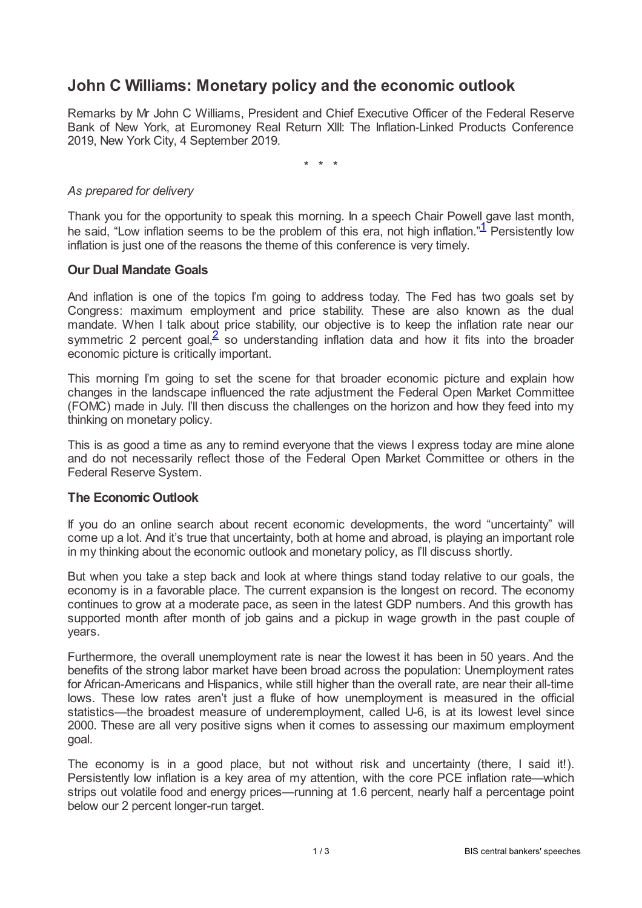# **John C Williams: Monetary policy and the economic outlook**

Remarks by Mr John C Williams, President and Chief Executive Officer of the Federal Reserve Bank of New York, at Euromoney Real Return XIII: The Inflation-Linked Products Conference 2019, New York City, 4 September 2019.

<span id="page-0-0"></span>\* \* \*

## *As prepared for delivery*

Thank you for the opportunity to speak this morning. In a speech Chair Powell gave last month, he said, "Low inflation seems to be the problem of this era, not high inflation."<sup>[1](#page-2-0)</sup> Persistently low inflation is just one of the reasons the theme of this conference is very timely.

## **Our Dual Mandate Goals**

And inflation is one of the topics I'm going to address today. The Fed has two goals set by Congress: maximum employment and price stability. These are also known as the dual mandate. When I talk about price stability, our objective is to keep the inflation rate near our symmetric [2](#page-2-1) percent goal, $\frac{2}{5}$  so understanding inflation data and how it fits into the broader economic picture is critically important.

<span id="page-0-1"></span>This morning I'm going to set the scene for that broader economic picture and explain how changes in the landscape influenced the rate adjustment the Federal Open Market Committee (FOMC) made in July. I'll then discuss the challenges on the horizon and how they feed into my thinking on monetary policy.

This is as good a time as any to remind everyone that the views I express today are mine alone and do not necessarily reflect those of the Federal Open Market Committee or others in the Federal Reserve System.

## **The Economic Outlook**

If you do an online search about recent economic developments, the word "uncertainty" will come up a lot. And it's true that uncertainty, both at home and abroad, is playing an important role in my thinking about the economic outlook and monetary policy, as I'll discuss shortly.

But when you take a step back and look at where things stand today relative to our goals, the economy is in a favorable place. The current expansion is the longest on record. The economy continues to grow at a moderate pace, as seen in the latest GDP numbers. And this growth has supported month after month of job gains and a pickup in wage growth in the past couple of years.

Furthermore, the overall unemployment rate is near the lowest it has been in 50 years. And the benefits of the strong labor market have been broad across the population: Unemployment rates for African-Americans and Hispanics, while still higher than the overall rate, are near their all-time lows. These low rates aren't just a fluke of how unemployment is measured in the official statistics—the broadest measure of underemployment, called U-6, is at its lowest level since 2000. These are all very positive signs when it comes to assessing our maximum employment goal.

The economy is in a good place, but not without risk and uncertainty (there, I said it!). Persistently low inflation is a key area of my attention, with the core PCE inflation rate—which strips out volatile food and energy prices—running at 1.6 percent, nearly half a percentage point below our 2 percent longer-run target.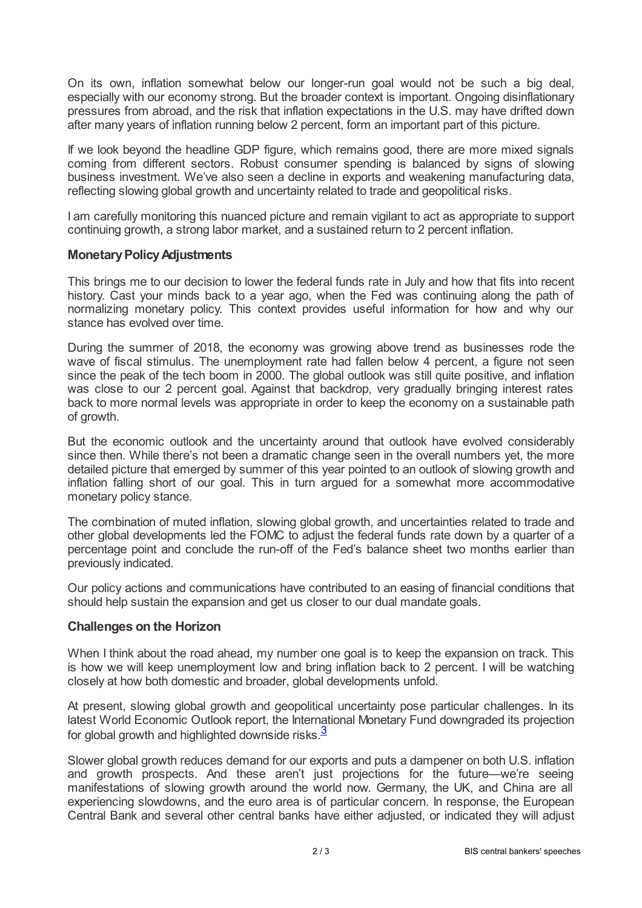On its own, inflation somewhat below our longer-run goal would not be such a big deal, especially with our economy strong. But the broader context is important. Ongoing disinflationary pressures from abroad, and the risk that inflation expectations in the U.S. may have drifted down after many years of inflation running below 2 percent, form an important part of this picture.

If we look beyond the headline GDP figure, which remains good, there are more mixed signals coming from different sectors. Robust consumer spending is balanced by signs of slowing business investment. We've also seen a decline in exports and weakening manufacturing data, reflecting slowing global growth and uncertainty related to trade and geopolitical risks.

I am carefully monitoring this nuanced picture and remain vigilant to act as appropriate to support continuing growth, a strong labor market, and a sustained return to 2 percent inflation.

## **MonetaryPolicyAdjustments**

This brings me to our decision to lower the federal funds rate in July and how that fits into recent history. Cast your minds back to a year ago, when the Fed was continuing along the path of normalizing monetary policy. This context provides useful information for how and why our stance has evolved over time.

During the summer of 2018, the economy was growing above trend as businesses rode the wave of fiscal stimulus. The unemployment rate had fallen below 4 percent, a figure not seen since the peak of the tech boom in 2000. The global outlook was still quite positive, and inflation was close to our 2 percent goal. Against that backdrop, very gradually bringing interest rates back to more normal levels was appropriate in order to keep the economy on a sustainable path of growth.

But the economic outlook and the uncertainty around that outlook have evolved considerably since then. While there's not been a dramatic change seen in the overall numbers yet, the more detailed picture that emerged by summer of this year pointed to an outlook of slowing growth and inflation falling short of our goal. This in turn argued for a somewhat more accommodative monetary policy stance.

The combination of muted inflation, slowing global growth, and uncertainties related to trade and other global developments led the FOMC to adjust the federal funds rate down by a quarter of a percentage point and conclude the run-off of the Fed's balance sheet two months earlier than previously indicated.

Our policy actions and communications have contributed to an easing of financial conditions that should help sustain the expansion and get us closer to our dual mandate goals.

## **Challenges on the Horizon**

When I think about the road ahead, my number one goal is to keep the expansion on track. This is how we will keep unemployment low and bring inflation back to 2 percent. I will be watching closely at how both domestic and broader, global developments unfold.

At present, slowing global growth and geopolitical uncertainty pose particular challenges. In its latest World Economic Outlook report, the International Monetary Fund downgraded its projection for global growth and highlighted downside risks. $3$ 

<span id="page-1-0"></span>Slower global growth reduces demand for our exports and puts a dampener on both U.S. inflation and growth prospects. And these aren't just projections for the future—we're seeing manifestations of slowing growth around the world now. Germany, the UK, and China are all experiencing slowdowns, and the euro area is of particular concern. In response, the European Central Bank and several other central banks have either adjusted, or indicated they will adjust